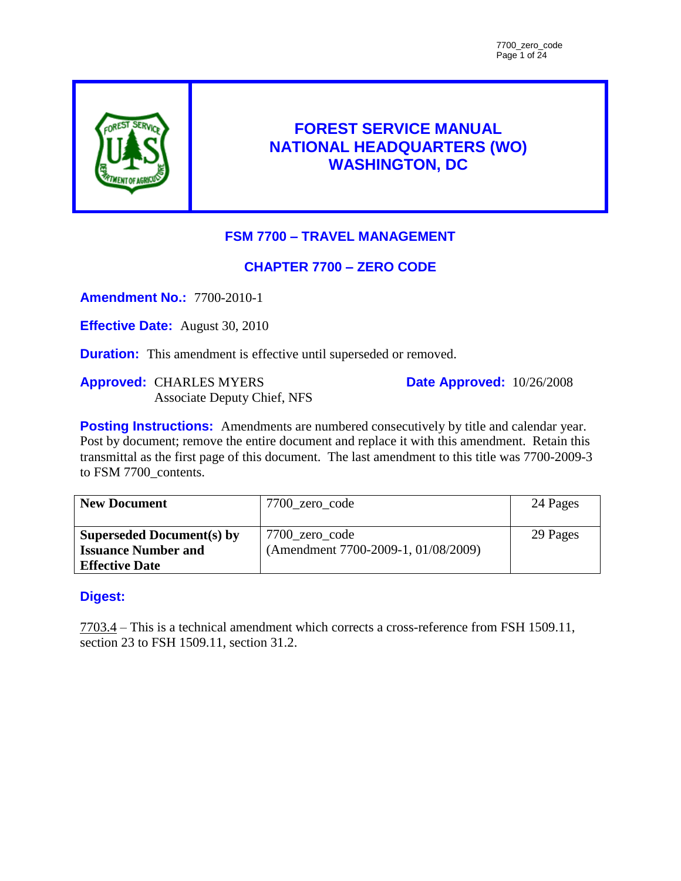

# **FOREST SERVICE MANUAL NATIONAL HEADQUARTERS (WO) WASHINGTON, DC**

# **FSM 7700 – TRAVEL MANAGEMENT**

# **CHAPTER 7700 – ZERO CODE**

**Amendment No.:** 7700-2010-1

**Effective Date:** August 30, 2010

**Duration:** This amendment is effective until superseded or removed.

**Approved:** CHARLES MYERS Associate Deputy Chief, NFS **Date Approved:** 10/26/2008

**Posting Instructions:** Amendments are numbered consecutively by title and calendar year. Post by document; remove the entire document and replace it with this amendment. Retain this transmittal as the first page of this document. The last amendment to this title was 7700-2009-3 to FSM 7700 contents.

| <b>New Document</b>              | 7700 zero code                      | 24 Pages |
|----------------------------------|-------------------------------------|----------|
| <b>Superseded Document(s) by</b> | 7700_zero_code                      | 29 Pages |
| <b>Issuance Number and</b>       | (Amendment 7700-2009-1, 01/08/2009) |          |
| <b>Effective Date</b>            |                                     |          |

# **Digest:**

7703.4 – This is a technical amendment which corrects a cross-reference from FSH 1509.11, section 23 to FSH 1509.11, section 31.2.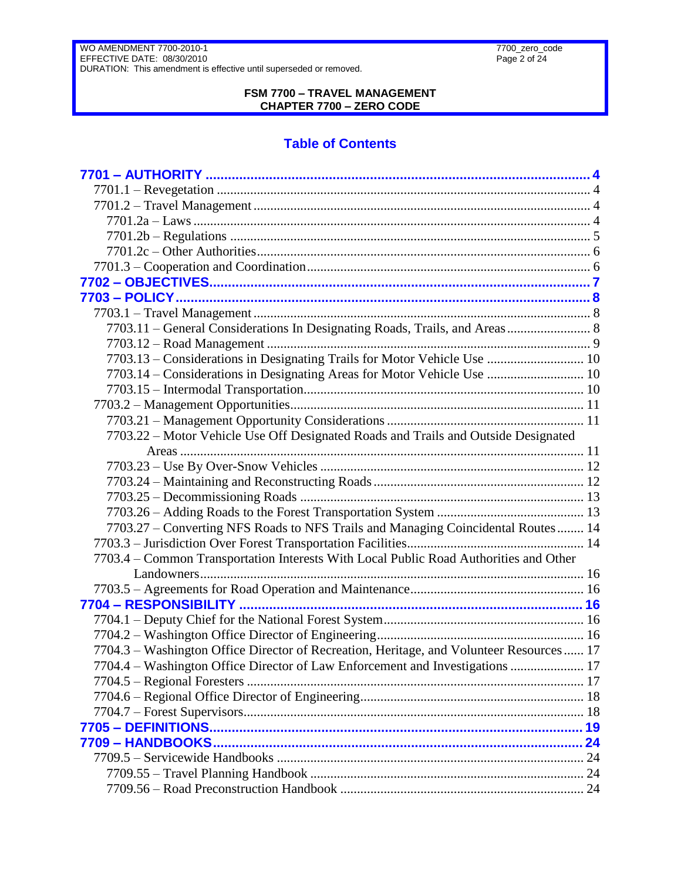#### **FSM 7700 – TRAVEL MANAGEMENT CHAPTER 7700 – ZERO CODE**

# **Table of Contents**

| 7703.11 - General Considerations In Designating Roads, Trails, and Areas 8              |  |
|-----------------------------------------------------------------------------------------|--|
|                                                                                         |  |
| 7703.13 - Considerations in Designating Trails for Motor Vehicle Use  10                |  |
| 7703.14 - Considerations in Designating Areas for Motor Vehicle Use  10                 |  |
|                                                                                         |  |
|                                                                                         |  |
|                                                                                         |  |
| 7703.22 – Motor Vehicle Use Off Designated Roads and Trails and Outside Designated      |  |
|                                                                                         |  |
|                                                                                         |  |
|                                                                                         |  |
|                                                                                         |  |
|                                                                                         |  |
| 7703.27 - Converting NFS Roads to NFS Trails and Managing Coincidental Routes 14        |  |
|                                                                                         |  |
| 7703.4 – Common Transportation Interests With Local Public Road Authorities and Other   |  |
|                                                                                         |  |
|                                                                                         |  |
|                                                                                         |  |
|                                                                                         |  |
|                                                                                         |  |
| 7704.3 – Washington Office Director of Recreation, Heritage, and Volunteer Resources 17 |  |
| 7704.4 – Washington Office Director of Law Enforcement and Investigations  17           |  |
|                                                                                         |  |
|                                                                                         |  |
|                                                                                         |  |
|                                                                                         |  |
|                                                                                         |  |
|                                                                                         |  |
|                                                                                         |  |
|                                                                                         |  |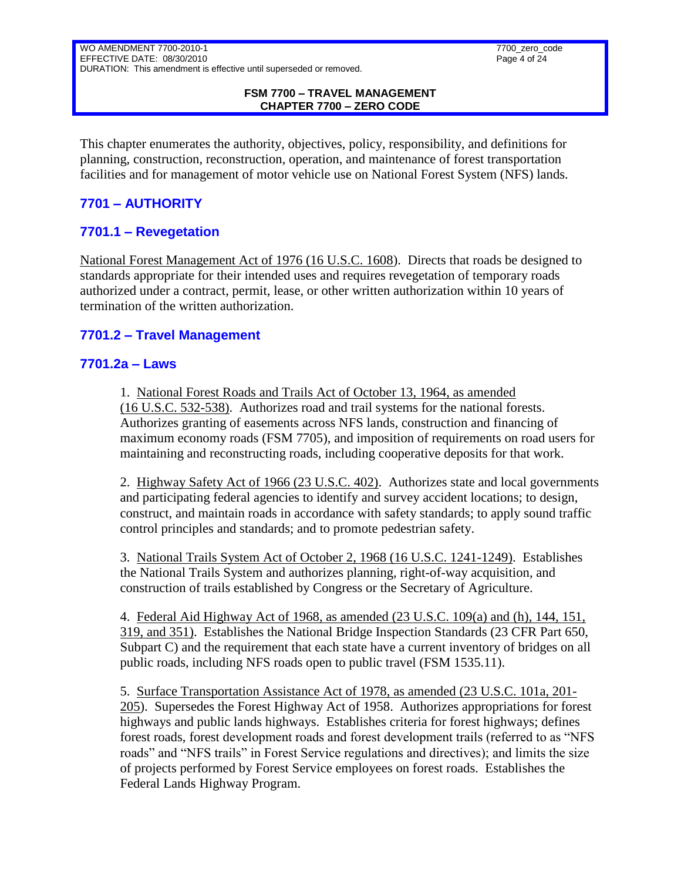#### **FSM 7700 – TRAVEL MANAGEMENT CHAPTER 7700 – ZERO CODE**

This chapter enumerates the authority, objectives, policy, responsibility, and definitions for planning, construction, reconstruction, operation, and maintenance of forest transportation facilities and for management of motor vehicle use on National Forest System (NFS) lands.

# <span id="page-3-0"></span>**7701 – AUTHORITY**

# <span id="page-3-1"></span>**7701.1 – Revegetation**

National Forest Management Act of 1976 (16 U.S.C. 1608). Directs that roads be designed to standards appropriate for their intended uses and requires revegetation of temporary roads authorized under a contract, permit, lease, or other written authorization within 10 years of termination of the written authorization.

### <span id="page-3-3"></span><span id="page-3-2"></span>**7701.2 – Travel Management**

### **7701.2a – Laws**

1. National Forest Roads and Trails Act of October 13, 1964, as amended (16 U.S.C. 532-538). Authorizes road and trail systems for the national forests. Authorizes granting of easements across NFS lands, construction and financing of maximum economy roads (FSM 7705), and imposition of requirements on road users for maintaining and reconstructing roads, including cooperative deposits for that work.

2. Highway Safety Act of 1966 (23 U.S.C. 402). Authorizes state and local governments and participating federal agencies to identify and survey accident locations; to design, construct, and maintain roads in accordance with safety standards; to apply sound traffic control principles and standards; and to promote pedestrian safety.

3. National Trails System Act of October 2, 1968 (16 U.S.C. 1241-1249). Establishes the National Trails System and authorizes planning, right-of-way acquisition, and construction of trails established by Congress or the Secretary of Agriculture.

4. Federal Aid Highway Act of 1968, as amended (23 U.S.C. 109(a) and (h), 144, 151, 319, and 351). Establishes the National Bridge Inspection Standards (23 CFR Part 650, Subpart C) and the requirement that each state have a current inventory of bridges on all public roads, including NFS roads open to public travel (FSM 1535.11).

5. Surface Transportation Assistance Act of 1978, as amended (23 U.S.C. 101a, 201- 205). Supersedes the Forest Highway Act of 1958. Authorizes appropriations for forest highways and public lands highways. Establishes criteria for forest highways; defines forest roads, forest development roads and forest development trails (referred to as "NFS roads" and "NFS trails" in Forest Service regulations and directives); and limits the size of projects performed by Forest Service employees on forest roads. Establishes the Federal Lands Highway Program.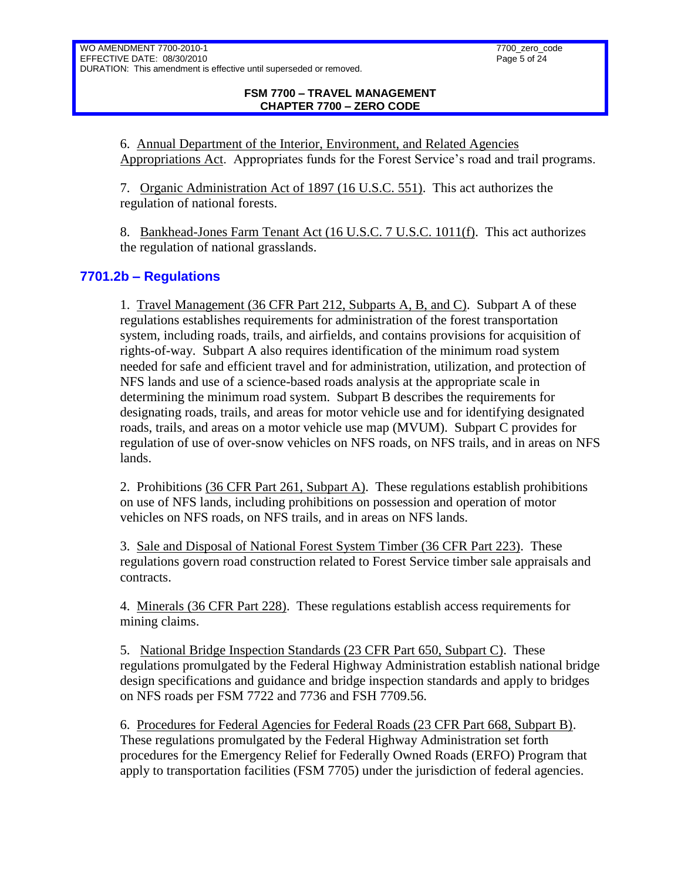6. Annual Department of the Interior, Environment, and Related Agencies Appropriations Act. Appropriates funds for the Forest Service's road and trail programs.

7. Organic Administration Act of 1897 (16 U.S.C. 551). This act authorizes the regulation of national forests.

8. Bankhead-Jones Farm Tenant Act (16 U.S.C. 7 U.S.C. 1011(f). This act authorizes the regulation of national grasslands.

# <span id="page-4-0"></span>**7701.2b – Regulations**

1. Travel Management (36 CFR Part 212, Subparts A, B, and C). Subpart A of these regulations establishes requirements for administration of the forest transportation system, including roads, trails, and airfields, and contains provisions for acquisition of rights-of-way. Subpart A also requires identification of the minimum road system needed for safe and efficient travel and for administration, utilization, and protection of NFS lands and use of a science-based roads analysis at the appropriate scale in determining the minimum road system. Subpart B describes the requirements for designating roads, trails, and areas for motor vehicle use and for identifying designated roads, trails, and areas on a motor vehicle use map (MVUM). Subpart C provides for regulation of use of over-snow vehicles on NFS roads, on NFS trails, and in areas on NFS lands.

2. Prohibitions (36 CFR Part 261, Subpart A). These regulations establish prohibitions on use of NFS lands, including prohibitions on possession and operation of motor vehicles on NFS roads, on NFS trails, and in areas on NFS lands.

3. Sale and Disposal of National Forest System Timber (36 CFR Part 223). These regulations govern road construction related to Forest Service timber sale appraisals and contracts.

4. Minerals (36 CFR Part 228). These regulations establish access requirements for mining claims.

5. National Bridge Inspection Standards (23 CFR Part 650, Subpart C). These regulations promulgated by the Federal Highway Administration establish national bridge design specifications and guidance and bridge inspection standards and apply to bridges on NFS roads per FSM 7722 and 7736 and FSH 7709.56.

6. Procedures for Federal Agencies for Federal Roads (23 CFR Part 668, Subpart B). These regulations promulgated by the Federal Highway Administration set forth procedures for the Emergency Relief for Federally Owned Roads (ERFO) Program that apply to transportation facilities (FSM 7705) under the jurisdiction of federal agencies.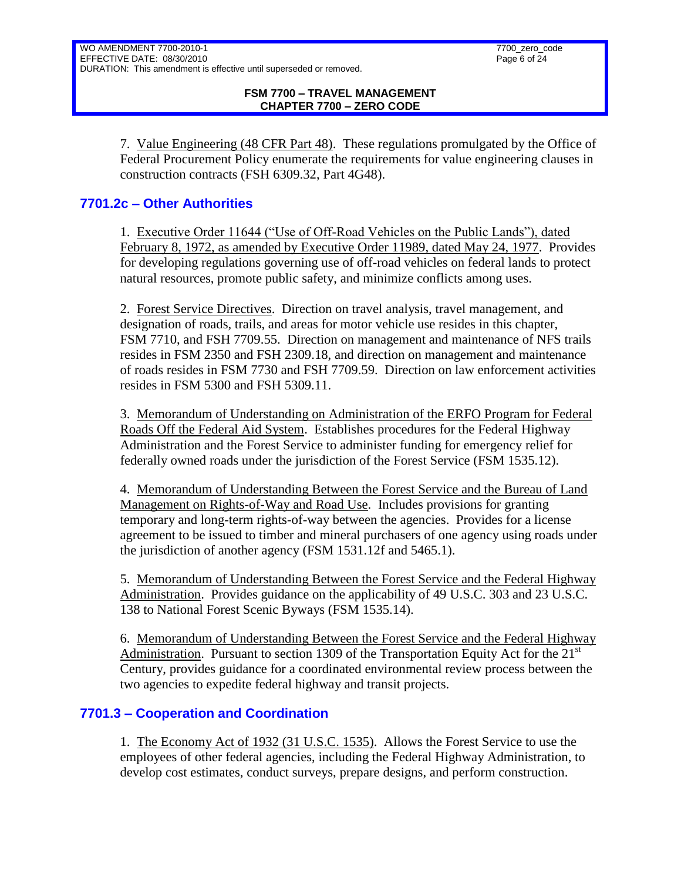7. Value Engineering (48 CFR Part 48). These regulations promulgated by the Office of Federal Procurement Policy enumerate the requirements for value engineering clauses in construction contracts (FSH 6309.32, Part 4G48).

# <span id="page-5-0"></span>**7701.2c – Other Authorities**

1. Executive Order 11644 ("Use of Off-Road Vehicles on the Public Lands"), dated February 8, 1972, as amended by Executive Order 11989, dated May 24, 1977. Provides for developing regulations governing use of off-road vehicles on federal lands to protect natural resources, promote public safety, and minimize conflicts among uses.

2. Forest Service Directives. Direction on travel analysis, travel management, and designation of roads, trails, and areas for motor vehicle use resides in this chapter, FSM 7710, and FSH 7709.55. Direction on management and maintenance of NFS trails resides in FSM 2350 and FSH 2309.18, and direction on management and maintenance of roads resides in FSM 7730 and FSH 7709.59. Direction on law enforcement activities resides in FSM 5300 and FSH 5309.11.

3. Memorandum of Understanding on Administration of the ERFO Program for Federal Roads Off the Federal Aid System. Establishes procedures for the Federal Highway Administration and the Forest Service to administer funding for emergency relief for federally owned roads under the jurisdiction of the Forest Service (FSM 1535.12).

4. Memorandum of Understanding Between the Forest Service and the Bureau of Land Management on Rights-of-Way and Road Use. Includes provisions for granting temporary and long-term rights-of-way between the agencies. Provides for a license agreement to be issued to timber and mineral purchasers of one agency using roads under the jurisdiction of another agency (FSM 1531.12f and 5465.1).

5. Memorandum of Understanding Between the Forest Service and the Federal Highway Administration. Provides guidance on the applicability of 49 U.S.C. 303 and 23 U.S.C. 138 to National Forest Scenic Byways (FSM 1535.14).

6. Memorandum of Understanding Between the Forest Service and the Federal Highway Administration. Pursuant to section 1309 of the Transportation Equity Act for the  $21<sup>st</sup>$ Century, provides guidance for a coordinated environmental review process between the two agencies to expedite federal highway and transit projects.

# <span id="page-5-1"></span>**7701.3 – Cooperation and Coordination**

1. The Economy Act of 1932 (31 U.S.C. 1535). Allows the Forest Service to use the employees of other federal agencies, including the Federal Highway Administration, to develop cost estimates, conduct surveys, prepare designs, and perform construction.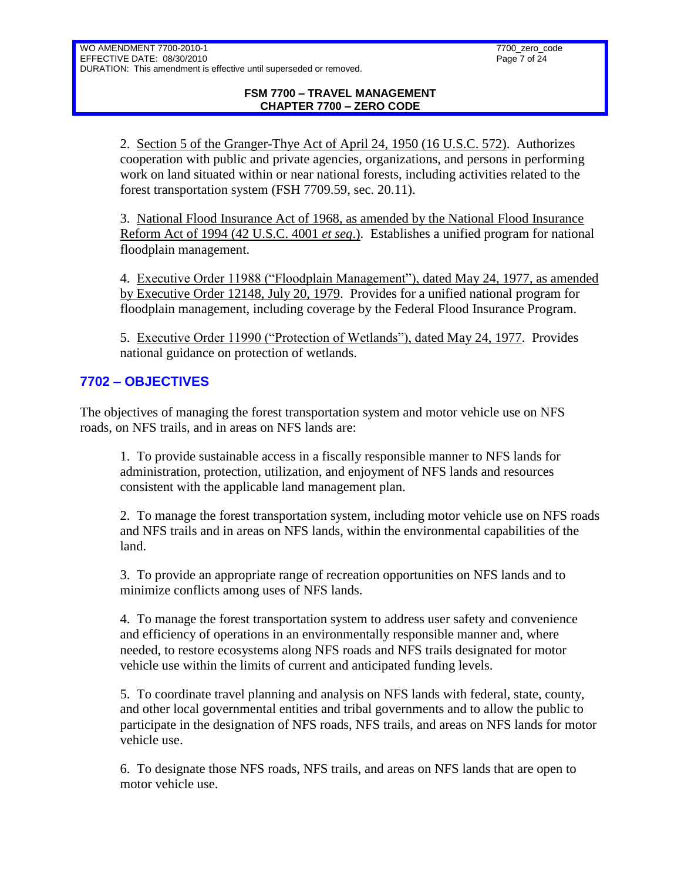2. Section 5 of the Granger-Thye Act of April 24, 1950 (16 U.S.C. 572). Authorizes cooperation with public and private agencies, organizations, and persons in performing work on land situated within or near national forests, including activities related to the forest transportation system (FSH 7709.59, sec. 20.11).

3. National Flood Insurance Act of 1968, as amended by the National Flood Insurance Reform Act of 1994 (42 U.S.C. 4001 *et seq*.). Establishes a unified program for national floodplain management.

4. Executive Order 11988 ("Floodplain Management"), dated May 24, 1977, as amended by Executive Order 12148, July 20, 1979. Provides for a unified national program for floodplain management, including coverage by the Federal Flood Insurance Program.

5. Executive Order 11990 ("Protection of Wetlands"), dated May 24, 1977. Provides national guidance on protection of wetlands.

# <span id="page-6-0"></span>**7702 – OBJECTIVES**

The objectives of managing the forest transportation system and motor vehicle use on NFS roads, on NFS trails, and in areas on NFS lands are:

1. To provide sustainable access in a fiscally responsible manner to NFS lands for administration, protection, utilization, and enjoyment of NFS lands and resources consistent with the applicable land management plan.

2. To manage the forest transportation system, including motor vehicle use on NFS roads and NFS trails and in areas on NFS lands, within the environmental capabilities of the land.

3. To provide an appropriate range of recreation opportunities on NFS lands and to minimize conflicts among uses of NFS lands.

4. To manage the forest transportation system to address user safety and convenience and efficiency of operations in an environmentally responsible manner and, where needed, to restore ecosystems along NFS roads and NFS trails designated for motor vehicle use within the limits of current and anticipated funding levels.

5. To coordinate travel planning and analysis on NFS lands with federal, state, county, and other local governmental entities and tribal governments and to allow the public to participate in the designation of NFS roads, NFS trails, and areas on NFS lands for motor vehicle use.

6. To designate those NFS roads, NFS trails, and areas on NFS lands that are open to motor vehicle use.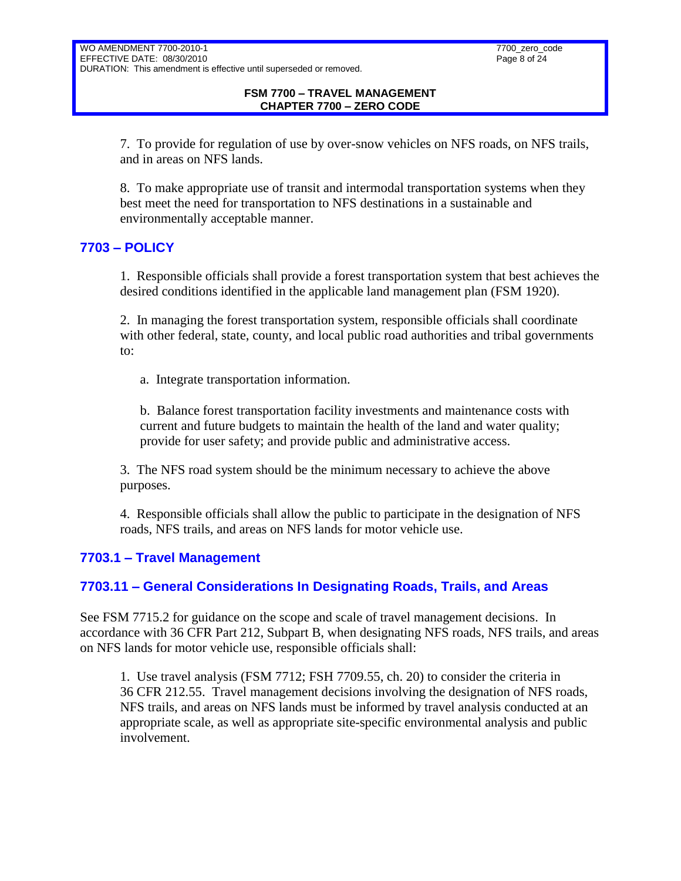7. To provide for regulation of use by over-snow vehicles on NFS roads, on NFS trails, and in areas on NFS lands.

8. To make appropriate use of transit and intermodal transportation systems when they best meet the need for transportation to NFS destinations in a sustainable and environmentally acceptable manner.

# <span id="page-7-0"></span>**7703 – POLICY**

1. Responsible officials shall provide a forest transportation system that best achieves the desired conditions identified in the applicable land management plan (FSM 1920).

2. In managing the forest transportation system, responsible officials shall coordinate with other federal, state, county, and local public road authorities and tribal governments to:

a. Integrate transportation information.

b. Balance forest transportation facility investments and maintenance costs with current and future budgets to maintain the health of the land and water quality; provide for user safety; and provide public and administrative access.

3. The NFS road system should be the minimum necessary to achieve the above purposes.

4. Responsible officials shall allow the public to participate in the designation of NFS roads, NFS trails, and areas on NFS lands for motor vehicle use.

# <span id="page-7-1"></span>**7703.1 – Travel Management**

# <span id="page-7-2"></span>**7703.11 – General Considerations In Designating Roads, Trails, and Areas**

See FSM 7715.2 for guidance on the scope and scale of travel management decisions. In accordance with 36 CFR Part 212, Subpart B, when designating NFS roads, NFS trails, and areas on NFS lands for motor vehicle use, responsible officials shall:

1. Use travel analysis (FSM 7712; FSH 7709.55, ch. 20) to consider the criteria in 36 CFR 212.55. Travel management decisions involving the designation of NFS roads, NFS trails, and areas on NFS lands must be informed by travel analysis conducted at an appropriate scale, as well as appropriate site-specific environmental analysis and public involvement.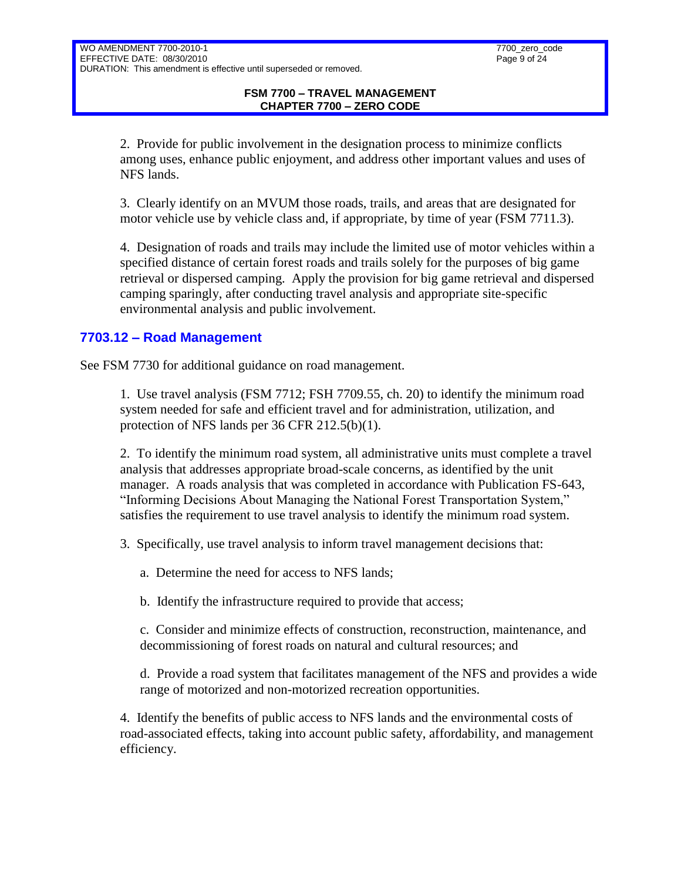2. Provide for public involvement in the designation process to minimize conflicts among uses, enhance public enjoyment, and address other important values and uses of NFS lands.

3. Clearly identify on an MVUM those roads, trails, and areas that are designated for motor vehicle use by vehicle class and, if appropriate, by time of year (FSM 7711.3).

4. Designation of roads and trails may include the limited use of motor vehicles within a specified distance of certain forest roads and trails solely for the purposes of big game retrieval or dispersed camping. Apply the provision for big game retrieval and dispersed camping sparingly, after conducting travel analysis and appropriate site-specific environmental analysis and public involvement.

# <span id="page-8-0"></span>**7703.12 – Road Management**

See FSM 7730 for additional guidance on road management.

1. Use travel analysis (FSM 7712; FSH 7709.55, ch. 20) to identify the minimum road system needed for safe and efficient travel and for administration, utilization, and protection of NFS lands per 36 CFR 212.5(b)(1).

2. To identify the minimum road system, all administrative units must complete a travel analysis that addresses appropriate broad-scale concerns, as identified by the unit manager. A roads analysis that was completed in accordance with Publication FS-643, "Informing Decisions About Managing the National Forest Transportation System," satisfies the requirement to use travel analysis to identify the minimum road system.

3. Specifically, use travel analysis to inform travel management decisions that:

a. Determine the need for access to NFS lands;

b. Identify the infrastructure required to provide that access;

c. Consider and minimize effects of construction, reconstruction, maintenance, and decommissioning of forest roads on natural and cultural resources; and

d. Provide a road system that facilitates management of the NFS and provides a wide range of motorized and non-motorized recreation opportunities.

4. Identify the benefits of public access to NFS lands and the environmental costs of road-associated effects, taking into account public safety, affordability, and management efficiency.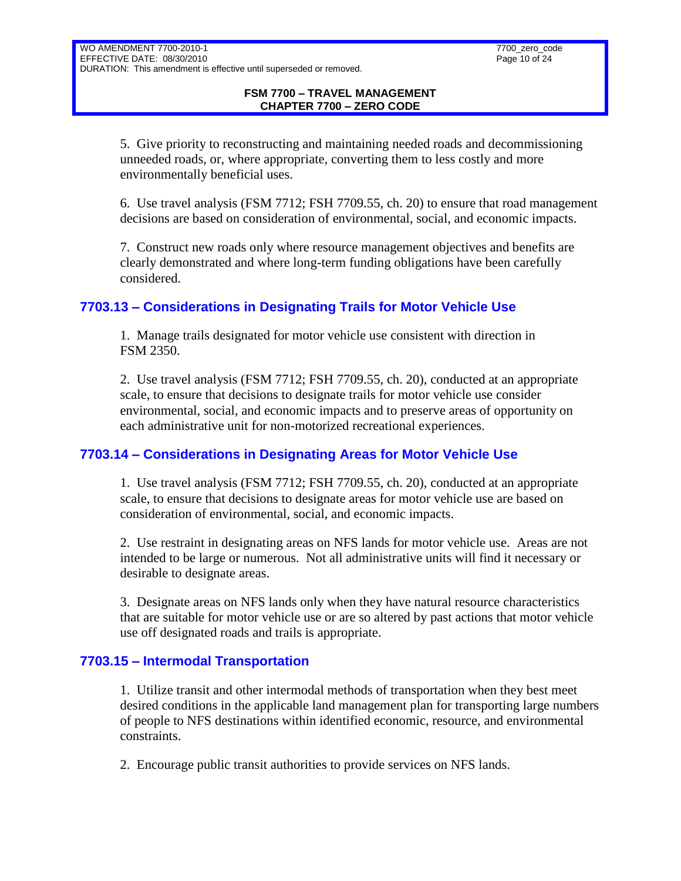5. Give priority to reconstructing and maintaining needed roads and decommissioning unneeded roads, or, where appropriate, converting them to less costly and more environmentally beneficial uses.

6. Use travel analysis (FSM 7712; FSH 7709.55, ch. 20) to ensure that road management decisions are based on consideration of environmental, social, and economic impacts.

7. Construct new roads only where resource management objectives and benefits are clearly demonstrated and where long-term funding obligations have been carefully considered.

# <span id="page-9-0"></span>**7703.13 – Considerations in Designating Trails for Motor Vehicle Use**

1. Manage trails designated for motor vehicle use consistent with direction in FSM 2350.

2. Use travel analysis (FSM 7712; FSH 7709.55, ch. 20), conducted at an appropriate scale, to ensure that decisions to designate trails for motor vehicle use consider environmental, social, and economic impacts and to preserve areas of opportunity on each administrative unit for non-motorized recreational experiences.

# <span id="page-9-1"></span>**7703.14 – Considerations in Designating Areas for Motor Vehicle Use**

1. Use travel analysis (FSM 7712; FSH 7709.55, ch. 20), conducted at an appropriate scale, to ensure that decisions to designate areas for motor vehicle use are based on consideration of environmental, social, and economic impacts.

2. Use restraint in designating areas on NFS lands for motor vehicle use. Areas are not intended to be large or numerous. Not all administrative units will find it necessary or desirable to designate areas.

3. Designate areas on NFS lands only when they have natural resource characteristics that are suitable for motor vehicle use or are so altered by past actions that motor vehicle use off designated roads and trails is appropriate.

# <span id="page-9-2"></span>**7703.15 – Intermodal Transportation**

1. Utilize transit and other intermodal methods of transportation when they best meet desired conditions in the applicable land management plan for transporting large numbers of people to NFS destinations within identified economic, resource, and environmental constraints.

2. Encourage public transit authorities to provide services on NFS lands.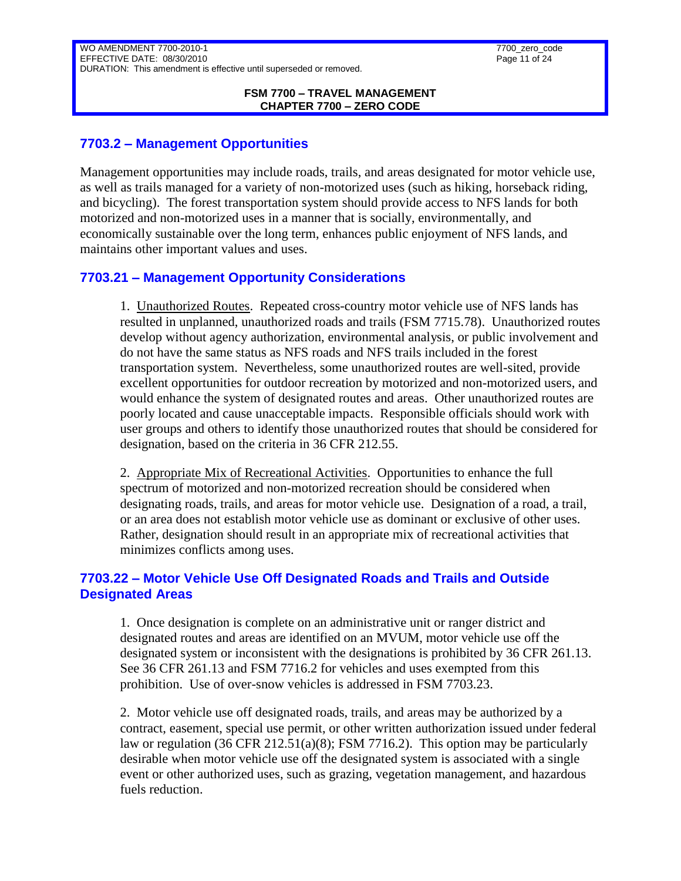#### **FSM 7700 – TRAVEL MANAGEMENT CHAPTER 7700 – ZERO CODE**

### <span id="page-10-0"></span>**7703.2 – Management Opportunities**

Management opportunities may include roads, trails, and areas designated for motor vehicle use, as well as trails managed for a variety of non-motorized uses (such as hiking, horseback riding, and bicycling). The forest transportation system should provide access to NFS lands for both motorized and non-motorized uses in a manner that is socially, environmentally, and economically sustainable over the long term, enhances public enjoyment of NFS lands, and maintains other important values and uses.

# <span id="page-10-1"></span>**7703.21 – Management Opportunity Considerations**

1. Unauthorized Routes. Repeated cross-country motor vehicle use of NFS lands has resulted in unplanned, unauthorized roads and trails (FSM 7715.78). Unauthorized routes develop without agency authorization, environmental analysis, or public involvement and do not have the same status as NFS roads and NFS trails included in the forest transportation system. Nevertheless, some unauthorized routes are well-sited, provide excellent opportunities for outdoor recreation by motorized and non-motorized users, and would enhance the system of designated routes and areas. Other unauthorized routes are poorly located and cause unacceptable impacts. Responsible officials should work with user groups and others to identify those unauthorized routes that should be considered for designation, based on the criteria in 36 CFR 212.55.

2. Appropriate Mix of Recreational Activities. Opportunities to enhance the full spectrum of motorized and non-motorized recreation should be considered when designating roads, trails, and areas for motor vehicle use. Designation of a road, a trail, or an area does not establish motor vehicle use as dominant or exclusive of other uses. Rather, designation should result in an appropriate mix of recreational activities that minimizes conflicts among uses.

### <span id="page-10-2"></span>**7703.22 – Motor Vehicle Use Off Designated Roads and Trails and Outside Designated Areas**

1. Once designation is complete on an administrative unit or ranger district and designated routes and areas are identified on an MVUM, motor vehicle use off the designated system or inconsistent with the designations is prohibited by 36 CFR 261.13. See 36 CFR 261.13 and FSM 7716.2 for vehicles and uses exempted from this prohibition. Use of over-snow vehicles is addressed in FSM 7703.23.

2. Motor vehicle use off designated roads, trails, and areas may be authorized by a contract, easement, special use permit, or other written authorization issued under federal law or regulation (36 CFR 212.51(a)(8); FSM 7716.2). This option may be particularly desirable when motor vehicle use off the designated system is associated with a single event or other authorized uses, such as grazing, vegetation management, and hazardous fuels reduction.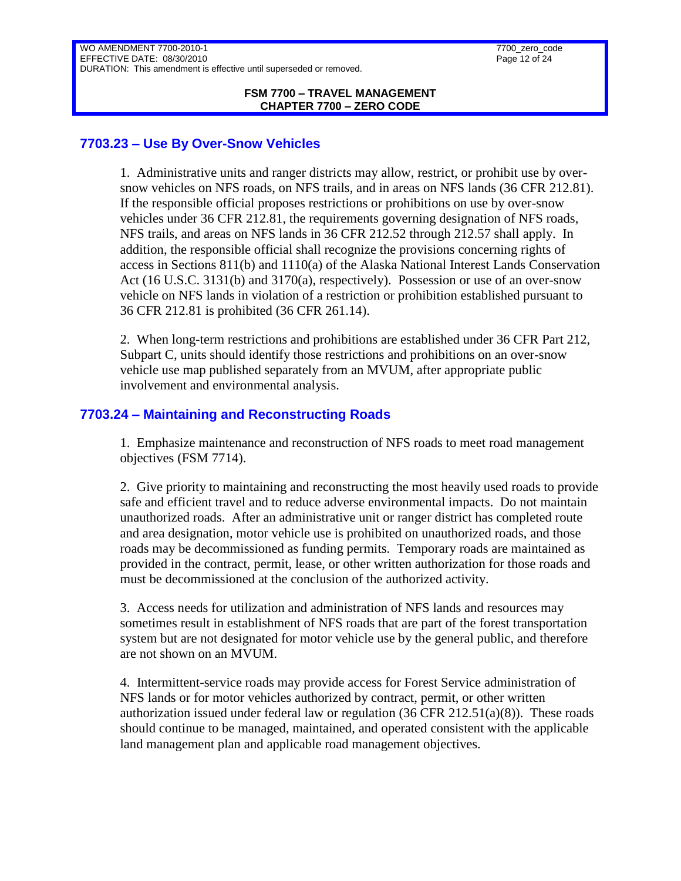#### **FSM 7700 – TRAVEL MANAGEMENT CHAPTER 7700 – ZERO CODE**

### <span id="page-11-0"></span>**7703.23 – Use By Over-Snow Vehicles**

1. Administrative units and ranger districts may allow, restrict, or prohibit use by oversnow vehicles on NFS roads, on NFS trails, and in areas on NFS lands (36 CFR 212.81). If the responsible official proposes restrictions or prohibitions on use by over-snow vehicles under 36 CFR 212.81, the requirements governing designation of NFS roads, NFS trails, and areas on NFS lands in 36 CFR 212.52 through 212.57 shall apply. In addition, the responsible official shall recognize the provisions concerning rights of access in Sections 811(b) and 1110(a) of the Alaska National Interest Lands Conservation Act (16 U.S.C. 3131(b) and 3170(a), respectively). Possession or use of an over-snow vehicle on NFS lands in violation of a restriction or prohibition established pursuant to 36 CFR 212.81 is prohibited (36 CFR 261.14).

2. When long-term restrictions and prohibitions are established under 36 CFR Part 212, Subpart C, units should identify those restrictions and prohibitions on an over-snow vehicle use map published separately from an MVUM, after appropriate public involvement and environmental analysis.

# <span id="page-11-1"></span>**7703.24 – Maintaining and Reconstructing Roads**

1. Emphasize maintenance and reconstruction of NFS roads to meet road management objectives (FSM 7714).

2. Give priority to maintaining and reconstructing the most heavily used roads to provide safe and efficient travel and to reduce adverse environmental impacts. Do not maintain unauthorized roads. After an administrative unit or ranger district has completed route and area designation, motor vehicle use is prohibited on unauthorized roads, and those roads may be decommissioned as funding permits. Temporary roads are maintained as provided in the contract, permit, lease, or other written authorization for those roads and must be decommissioned at the conclusion of the authorized activity.

3. Access needs for utilization and administration of NFS lands and resources may sometimes result in establishment of NFS roads that are part of the forest transportation system but are not designated for motor vehicle use by the general public, and therefore are not shown on an MVUM.

4. Intermittent-service roads may provide access for Forest Service administration of NFS lands or for motor vehicles authorized by contract, permit, or other written authorization issued under federal law or regulation  $(36 \text{ CFR } 212.51(a)(8))$ . These roads should continue to be managed, maintained, and operated consistent with the applicable land management plan and applicable road management objectives.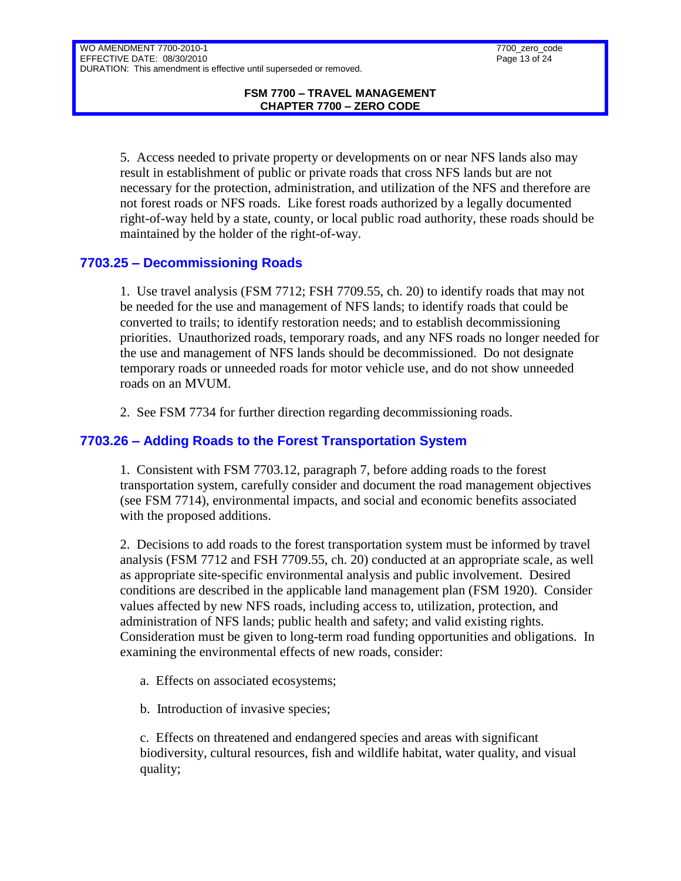5. Access needed to private property or developments on or near NFS lands also may result in establishment of public or private roads that cross NFS lands but are not necessary for the protection, administration, and utilization of the NFS and therefore are not forest roads or NFS roads. Like forest roads authorized by a legally documented right-of-way held by a state, county, or local public road authority, these roads should be maintained by the holder of the right-of-way.

# <span id="page-12-0"></span>**7703.25 – Decommissioning Roads**

1. Use travel analysis (FSM 7712; FSH 7709.55, ch. 20) to identify roads that may not be needed for the use and management of NFS lands; to identify roads that could be converted to trails; to identify restoration needs; and to establish decommissioning priorities. Unauthorized roads, temporary roads, and any NFS roads no longer needed for the use and management of NFS lands should be decommissioned. Do not designate temporary roads or unneeded roads for motor vehicle use, and do not show unneeded roads on an MVUM.

2. See FSM 7734 for further direction regarding decommissioning roads.

# <span id="page-12-1"></span>**7703.26 – Adding Roads to the Forest Transportation System**

1. Consistent with FSM 7703.12, paragraph 7, before adding roads to the forest transportation system, carefully consider and document the road management objectives (see FSM 7714), environmental impacts, and social and economic benefits associated with the proposed additions.

2. Decisions to add roads to the forest transportation system must be informed by travel analysis (FSM 7712 and FSH 7709.55, ch. 20) conducted at an appropriate scale, as well as appropriate site-specific environmental analysis and public involvement. Desired conditions are described in the applicable land management plan (FSM 1920). Consider values affected by new NFS roads, including access to, utilization, protection, and administration of NFS lands; public health and safety; and valid existing rights. Consideration must be given to long-term road funding opportunities and obligations. In examining the environmental effects of new roads, consider:

- a. Effects on associated ecosystems;
- b. Introduction of invasive species;

c. Effects on threatened and endangered species and areas with significant biodiversity, cultural resources, fish and wildlife habitat, water quality, and visual quality;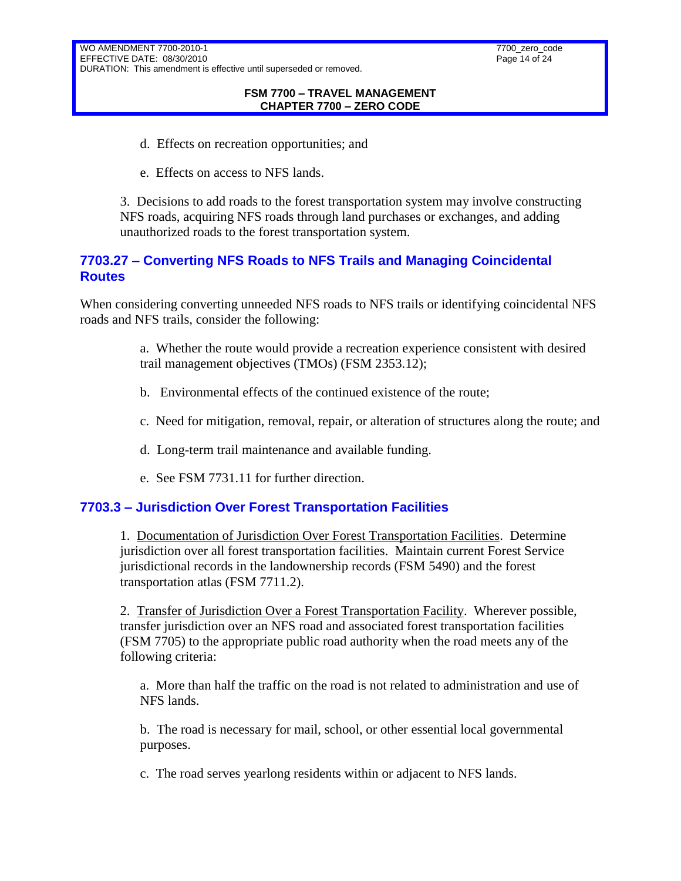- d. Effects on recreation opportunities; and
- e. Effects on access to NFS lands.

3. Decisions to add roads to the forest transportation system may involve constructing NFS roads, acquiring NFS roads through land purchases or exchanges, and adding unauthorized roads to the forest transportation system.

# <span id="page-13-0"></span>**7703.27 – Converting NFS Roads to NFS Trails and Managing Coincidental Routes**

When considering converting unneeded NFS roads to NFS trails or identifying coincidental NFS roads and NFS trails, consider the following:

> a. Whether the route would provide a recreation experience consistent with desired trail management objectives (TMOs) (FSM 2353.12);

- b. Environmental effects of the continued existence of the route;
- c. Need for mitigation, removal, repair, or alteration of structures along the route; and
- d. Long-term trail maintenance and available funding.
- e. See FSM 7731.11 for further direction.

# <span id="page-13-1"></span>**7703.3 – Jurisdiction Over Forest Transportation Facilities**

1. Documentation of Jurisdiction Over Forest Transportation Facilities. Determine jurisdiction over all forest transportation facilities. Maintain current Forest Service jurisdictional records in the landownership records (FSM 5490) and the forest transportation atlas (FSM 7711.2).

2. Transfer of Jurisdiction Over a Forest Transportation Facility. Wherever possible, transfer jurisdiction over an NFS road and associated forest transportation facilities (FSM 7705) to the appropriate public road authority when the road meets any of the following criteria:

a. More than half the traffic on the road is not related to administration and use of NFS lands.

b. The road is necessary for mail, school, or other essential local governmental purposes.

c. The road serves yearlong residents within or adjacent to NFS lands.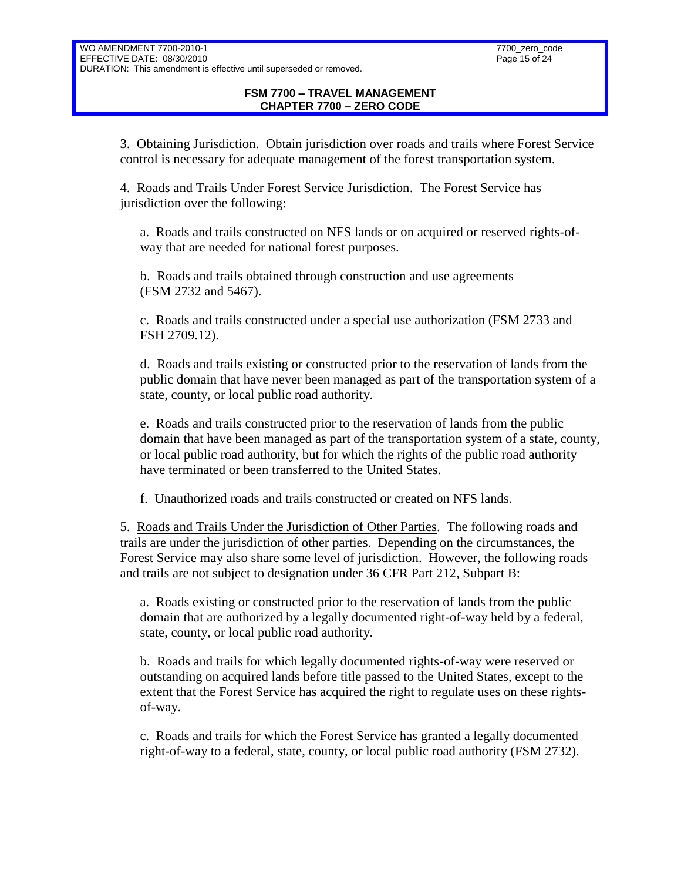3. Obtaining Jurisdiction. Obtain jurisdiction over roads and trails where Forest Service control is necessary for adequate management of the forest transportation system.

4. Roads and Trails Under Forest Service Jurisdiction. The Forest Service has jurisdiction over the following:

a. Roads and trails constructed on NFS lands or on acquired or reserved rights-ofway that are needed for national forest purposes.

b. Roads and trails obtained through construction and use agreements (FSM 2732 and 5467).

c. Roads and trails constructed under a special use authorization (FSM 2733 and FSH 2709.12).

d. Roads and trails existing or constructed prior to the reservation of lands from the public domain that have never been managed as part of the transportation system of a state, county, or local public road authority.

e. Roads and trails constructed prior to the reservation of lands from the public domain that have been managed as part of the transportation system of a state, county, or local public road authority, but for which the rights of the public road authority have terminated or been transferred to the United States.

f. Unauthorized roads and trails constructed or created on NFS lands.

5. Roads and Trails Under the Jurisdiction of Other Parties. The following roads and trails are under the jurisdiction of other parties. Depending on the circumstances, the Forest Service may also share some level of jurisdiction. However, the following roads and trails are not subject to designation under 36 CFR Part 212, Subpart B:

a. Roads existing or constructed prior to the reservation of lands from the public domain that are authorized by a legally documented right-of-way held by a federal, state, county, or local public road authority.

b. Roads and trails for which legally documented rights-of-way were reserved or outstanding on acquired lands before title passed to the United States, except to the extent that the Forest Service has acquired the right to regulate uses on these rightsof-way.

c. Roads and trails for which the Forest Service has granted a legally documented right-of-way to a federal, state, county, or local public road authority (FSM 2732).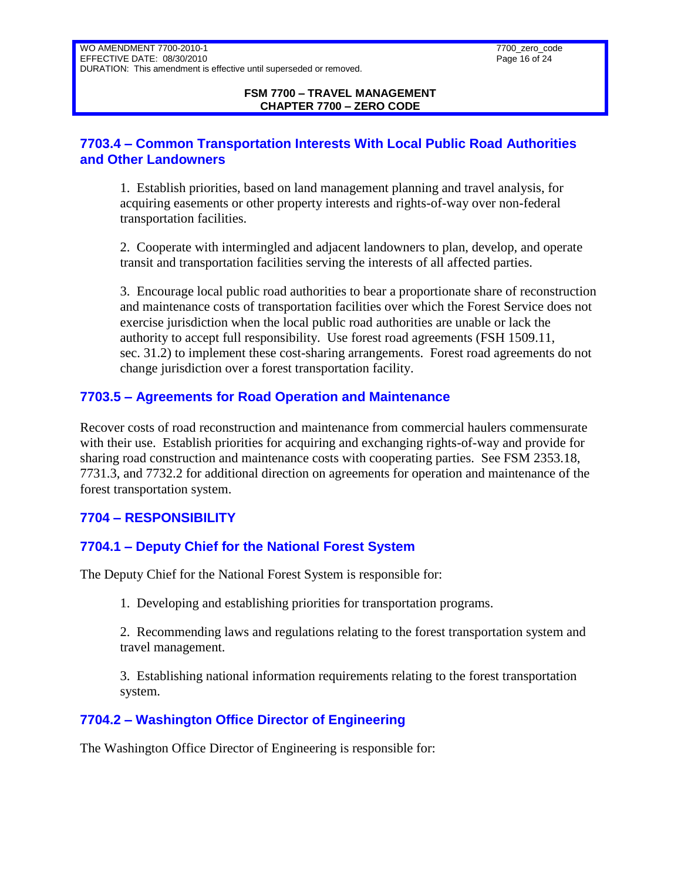# <span id="page-15-0"></span>**7703.4 – Common Transportation Interests With Local Public Road Authorities and Other Landowners**

1. Establish priorities, based on land management planning and travel analysis, for acquiring easements or other property interests and rights-of-way over non-federal transportation facilities.

2. Cooperate with intermingled and adjacent landowners to plan, develop, and operate transit and transportation facilities serving the interests of all affected parties.

3. Encourage local public road authorities to bear a proportionate share of reconstruction and maintenance costs of transportation facilities over which the Forest Service does not exercise jurisdiction when the local public road authorities are unable or lack the authority to accept full responsibility. Use forest road agreements (FSH 1509.11, sec. 31.2) to implement these cost-sharing arrangements. Forest road agreements do not change jurisdiction over a forest transportation facility.

# <span id="page-15-1"></span>**7703.5 – Agreements for Road Operation and Maintenance**

Recover costs of road reconstruction and maintenance from commercial haulers commensurate with their use. Establish priorities for acquiring and exchanging rights-of-way and provide for sharing road construction and maintenance costs with cooperating parties. See FSM 2353.18, 7731.3, and 7732.2 for additional direction on agreements for operation and maintenance of the forest transportation system.

# <span id="page-15-2"></span>**7704 – RESPONSIBILITY**

# <span id="page-15-3"></span>**7704.1 – Deputy Chief for the National Forest System**

The Deputy Chief for the National Forest System is responsible for:

1. Developing and establishing priorities for transportation programs.

2. Recommending laws and regulations relating to the forest transportation system and travel management.

3. Establishing national information requirements relating to the forest transportation system.

# <span id="page-15-4"></span>**7704.2 – Washington Office Director of Engineering**

The Washington Office Director of Engineering is responsible for: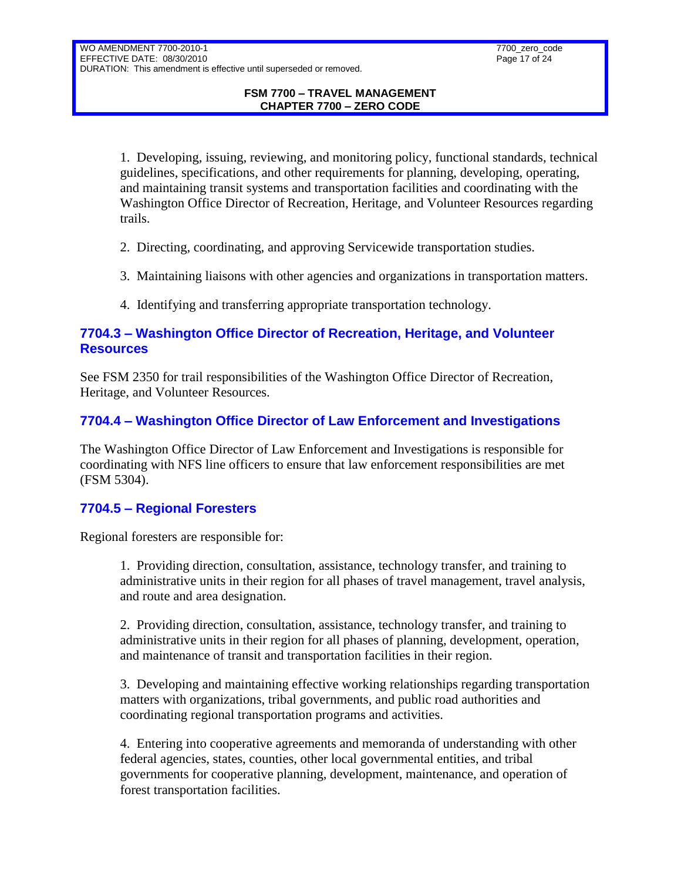1. Developing, issuing, reviewing, and monitoring policy, functional standards, technical guidelines, specifications, and other requirements for planning, developing, operating, and maintaining transit systems and transportation facilities and coordinating with the Washington Office Director of Recreation, Heritage, and Volunteer Resources regarding trails.

- 2. Directing, coordinating, and approving Servicewide transportation studies.
- 3. Maintaining liaisons with other agencies and organizations in transportation matters.
- 4. Identifying and transferring appropriate transportation technology.

# <span id="page-16-0"></span>**7704.3 – Washington Office Director of Recreation, Heritage, and Volunteer Resources**

See FSM 2350 for trail responsibilities of the Washington Office Director of Recreation, Heritage, and Volunteer Resources.

# <span id="page-16-1"></span>**7704.4 – Washington Office Director of Law Enforcement and Investigations**

The Washington Office Director of Law Enforcement and Investigations is responsible for coordinating with NFS line officers to ensure that law enforcement responsibilities are met (FSM 5304).

# <span id="page-16-2"></span>**7704.5 – Regional Foresters**

Regional foresters are responsible for:

1. Providing direction, consultation, assistance, technology transfer, and training to administrative units in their region for all phases of travel management, travel analysis, and route and area designation.

2. Providing direction, consultation, assistance, technology transfer, and training to administrative units in their region for all phases of planning, development, operation, and maintenance of transit and transportation facilities in their region.

3. Developing and maintaining effective working relationships regarding transportation matters with organizations, tribal governments, and public road authorities and coordinating regional transportation programs and activities.

4. Entering into cooperative agreements and memoranda of understanding with other federal agencies, states, counties, other local governmental entities, and tribal governments for cooperative planning, development, maintenance, and operation of forest transportation facilities.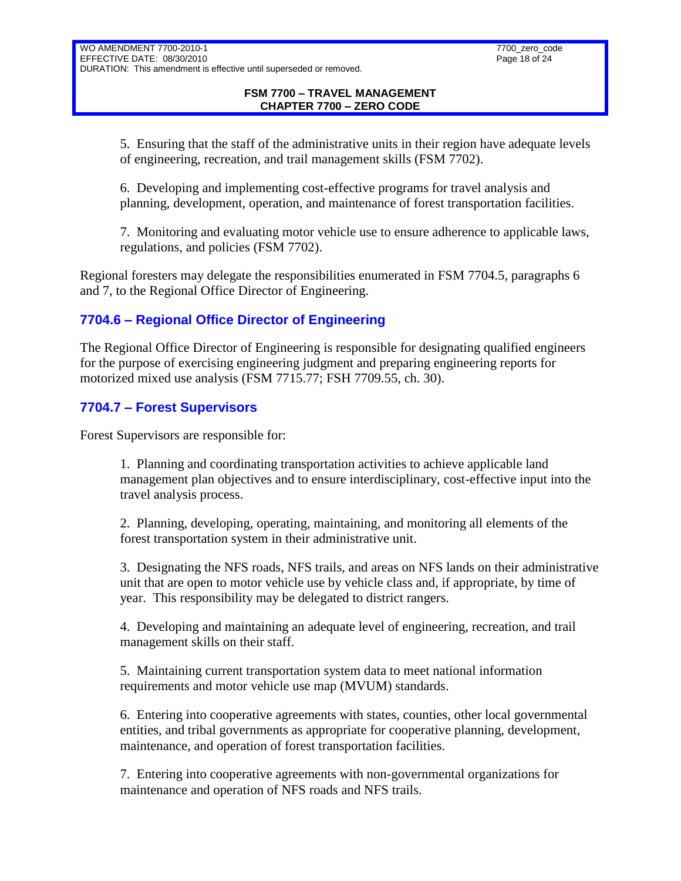5. Ensuring that the staff of the administrative units in their region have adequate levels of engineering, recreation, and trail management skills (FSM 7702).

6. Developing and implementing cost-effective programs for travel analysis and planning, development, operation, and maintenance of forest transportation facilities.

7. Monitoring and evaluating motor vehicle use to ensure adherence to applicable laws, regulations, and policies (FSM 7702).

Regional foresters may delegate the responsibilities enumerated in FSM 7704.5, paragraphs 6 and 7, to the Regional Office Director of Engineering.

# <span id="page-17-0"></span>**7704.6 – Regional Office Director of Engineering**

The Regional Office Director of Engineering is responsible for designating qualified engineers for the purpose of exercising engineering judgment and preparing engineering reports for motorized mixed use analysis (FSM 7715.77; FSH 7709.55, ch. 30).

# <span id="page-17-1"></span>**7704.7 – Forest Supervisors**

Forest Supervisors are responsible for:

1. Planning and coordinating transportation activities to achieve applicable land management plan objectives and to ensure interdisciplinary, cost-effective input into the travel analysis process.

2. Planning, developing, operating, maintaining, and monitoring all elements of the forest transportation system in their administrative unit.

3. Designating the NFS roads, NFS trails, and areas on NFS lands on their administrative unit that are open to motor vehicle use by vehicle class and, if appropriate, by time of year. This responsibility may be delegated to district rangers.

4. Developing and maintaining an adequate level of engineering, recreation, and trail management skills on their staff.

5. Maintaining current transportation system data to meet national information requirements and motor vehicle use map (MVUM) standards.

6. Entering into cooperative agreements with states, counties, other local governmental entities, and tribal governments as appropriate for cooperative planning, development, maintenance, and operation of forest transportation facilities.

7. Entering into cooperative agreements with non-governmental organizations for maintenance and operation of NFS roads and NFS trails.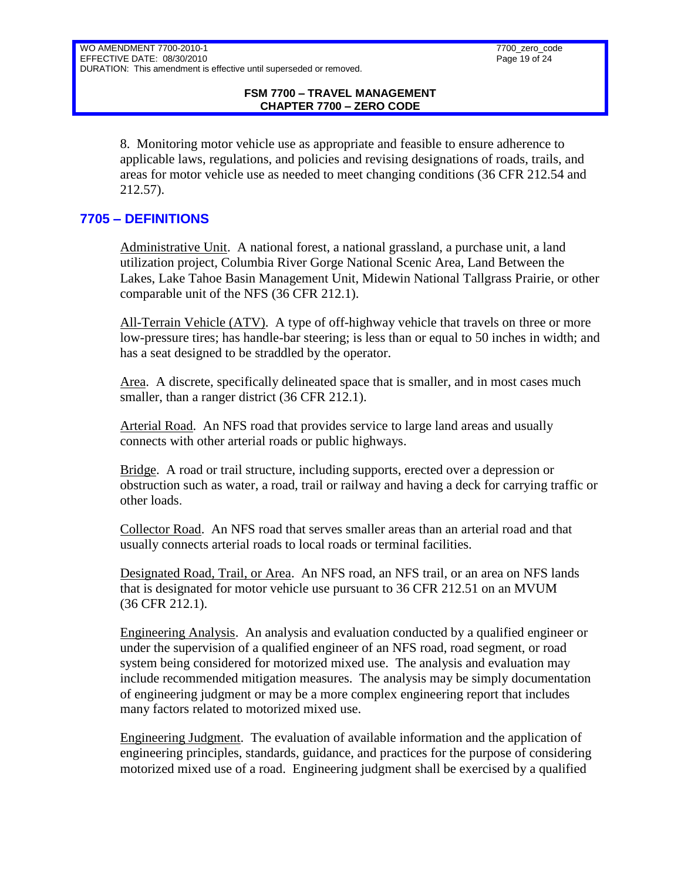8. Monitoring motor vehicle use as appropriate and feasible to ensure adherence to applicable laws, regulations, and policies and revising designations of roads, trails, and areas for motor vehicle use as needed to meet changing conditions (36 CFR 212.54 and 212.57).

# <span id="page-18-0"></span>**7705 – DEFINITIONS**

Administrative Unit. A national forest, a national grassland, a purchase unit, a land utilization project, Columbia River Gorge National Scenic Area, Land Between the Lakes, Lake Tahoe Basin Management Unit, Midewin National Tallgrass Prairie, or other comparable unit of the NFS (36 CFR 212.1).

All-Terrain Vehicle (ATV). A type of off-highway vehicle that travels on three or more low-pressure tires; has handle-bar steering; is less than or equal to 50 inches in width; and has a seat designed to be straddled by the operator.

Area. A discrete, specifically delineated space that is smaller, and in most cases much smaller, than a ranger district (36 CFR 212.1).

Arterial Road. An NFS road that provides service to large land areas and usually connects with other arterial roads or public highways.

Bridge. A road or trail structure, including supports, erected over a depression or obstruction such as water, a road, trail or railway and having a deck for carrying traffic or other loads.

Collector Road. An NFS road that serves smaller areas than an arterial road and that usually connects arterial roads to local roads or terminal facilities.

Designated Road, Trail, or Area. An NFS road, an NFS trail, or an area on NFS lands that is designated for motor vehicle use pursuant to 36 CFR 212.51 on an MVUM (36 CFR 212.1).

Engineering Analysis. An analysis and evaluation conducted by a qualified engineer or under the supervision of a qualified engineer of an NFS road, road segment, or road system being considered for motorized mixed use. The analysis and evaluation may include recommended mitigation measures. The analysis may be simply documentation of engineering judgment or may be a more complex engineering report that includes many factors related to motorized mixed use.

Engineering Judgment. The evaluation of available information and the application of engineering principles, standards, guidance, and practices for the purpose of considering motorized mixed use of a road. Engineering judgment shall be exercised by a qualified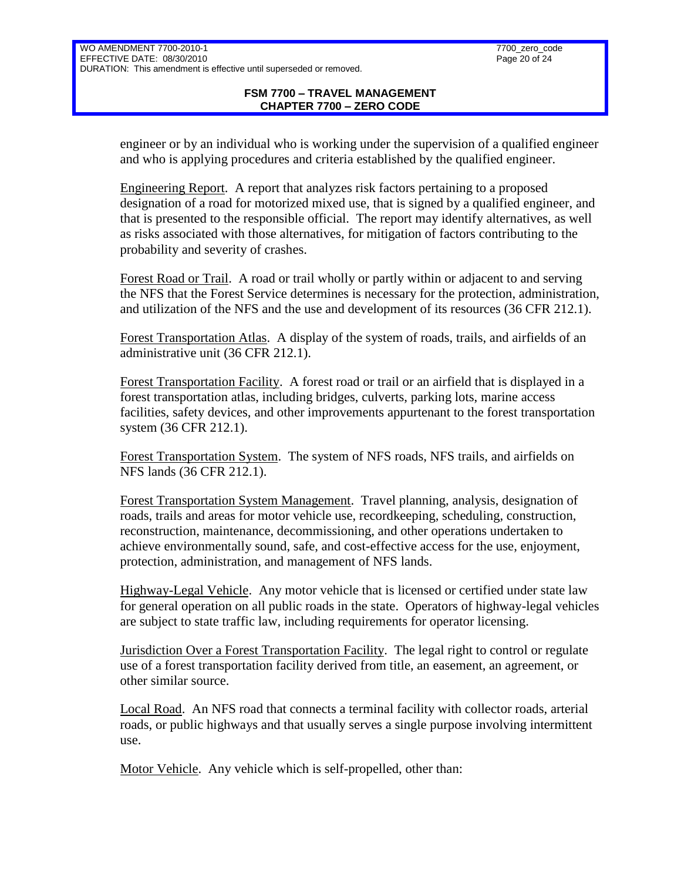#### **FSM 7700 – TRAVEL MANAGEMENT CHAPTER 7700 – ZERO CODE**

engineer or by an individual who is working under the supervision of a qualified engineer and who is applying procedures and criteria established by the qualified engineer.

Engineering Report. A report that analyzes risk factors pertaining to a proposed designation of a road for motorized mixed use, that is signed by a qualified engineer, and that is presented to the responsible official. The report may identify alternatives, as well as risks associated with those alternatives, for mitigation of factors contributing to the probability and severity of crashes.

Forest Road or Trail. A road or trail wholly or partly within or adjacent to and serving the NFS that the Forest Service determines is necessary for the protection, administration, and utilization of the NFS and the use and development of its resources (36 CFR 212.1).

Forest Transportation Atlas. A display of the system of roads, trails, and airfields of an administrative unit (36 CFR 212.1).

Forest Transportation Facility. A forest road or trail or an airfield that is displayed in a forest transportation atlas, including bridges, culverts, parking lots, marine access facilities, safety devices, and other improvements appurtenant to the forest transportation system (36 CFR 212.1).

Forest Transportation System. The system of NFS roads, NFS trails, and airfields on NFS lands (36 CFR 212.1).

Forest Transportation System Management. Travel planning, analysis, designation of roads, trails and areas for motor vehicle use, recordkeeping, scheduling, construction, reconstruction, maintenance, decommissioning, and other operations undertaken to achieve environmentally sound, safe, and cost-effective access for the use, enjoyment, protection, administration, and management of NFS lands.

Highway-Legal Vehicle. Any motor vehicle that is licensed or certified under state law for general operation on all public roads in the state. Operators of highway-legal vehicles are subject to state traffic law, including requirements for operator licensing.

Jurisdiction Over a Forest Transportation Facility. The legal right to control or regulate use of a forest transportation facility derived from title, an easement, an agreement, or other similar source.

Local Road. An NFS road that connects a terminal facility with collector roads, arterial roads, or public highways and that usually serves a single purpose involving intermittent use.

Motor Vehicle. Any vehicle which is self-propelled, other than: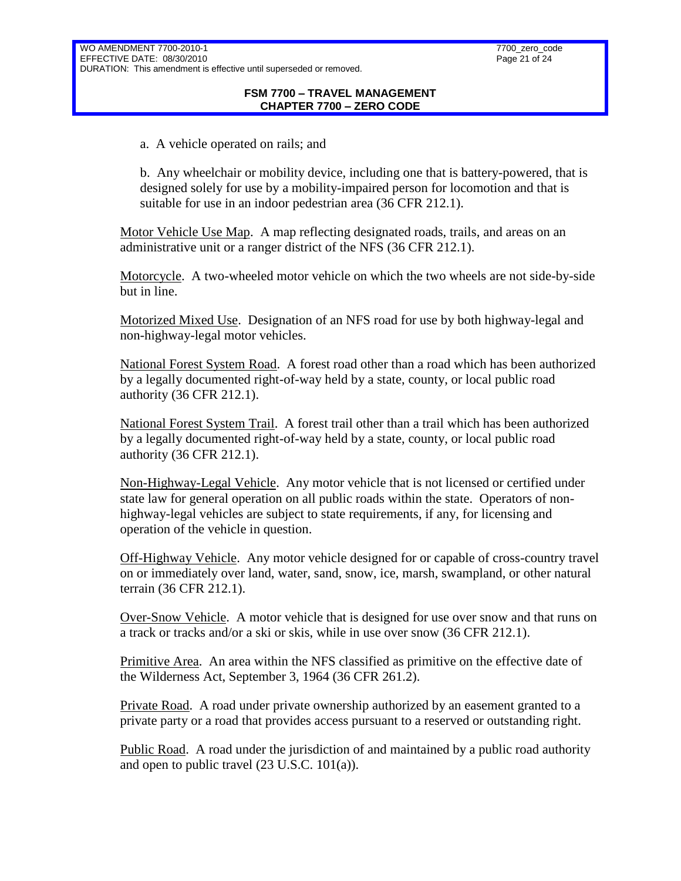a. A vehicle operated on rails; and

b. Any wheelchair or mobility device, including one that is battery-powered, that is designed solely for use by a mobility-impaired person for locomotion and that is suitable for use in an indoor pedestrian area (36 CFR 212.1).

Motor Vehicle Use Map. A map reflecting designated roads, trails, and areas on an administrative unit or a ranger district of the NFS (36 CFR 212.1).

Motorcycle. A two-wheeled motor vehicle on which the two wheels are not side-by-side but in line.

Motorized Mixed Use. Designation of an NFS road for use by both highway-legal and non-highway-legal motor vehicles.

National Forest System Road. A forest road other than a road which has been authorized by a legally documented right-of-way held by a state, county, or local public road authority (36 CFR 212.1).

National Forest System Trail. A forest trail other than a trail which has been authorized by a legally documented right-of-way held by a state, county, or local public road authority (36 CFR 212.1).

Non-Highway-Legal Vehicle. Any motor vehicle that is not licensed or certified under state law for general operation on all public roads within the state. Operators of nonhighway-legal vehicles are subject to state requirements, if any, for licensing and operation of the vehicle in question.

Off-Highway Vehicle. Any motor vehicle designed for or capable of cross-country travel on or immediately over land, water, sand, snow, ice, marsh, swampland, or other natural terrain (36 CFR 212.1).

Over-Snow Vehicle. A motor vehicle that is designed for use over snow and that runs on a track or tracks and/or a ski or skis, while in use over snow (36 CFR 212.1).

Primitive Area. An area within the NFS classified as primitive on the effective date of the Wilderness Act, September 3, 1964 (36 CFR 261.2).

Private Road. A road under private ownership authorized by an easement granted to a private party or a road that provides access pursuant to a reserved or outstanding right.

Public Road. A road under the jurisdiction of and maintained by a public road authority and open to public travel (23 U.S.C. 101(a)).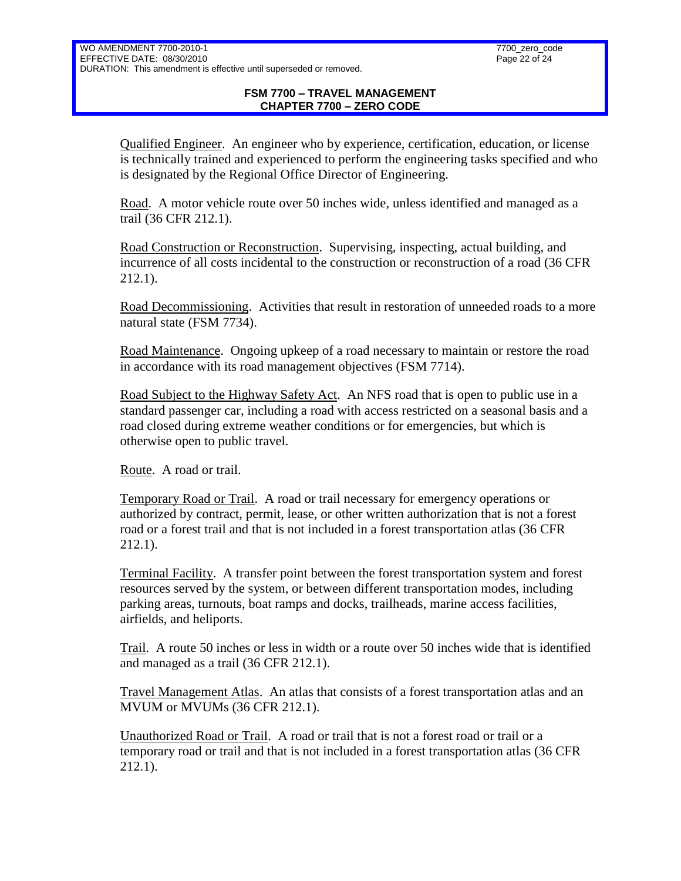Qualified Engineer. An engineer who by experience, certification, education, or license is technically trained and experienced to perform the engineering tasks specified and who is designated by the Regional Office Director of Engineering.

Road. A motor vehicle route over 50 inches wide, unless identified and managed as a trail (36 CFR 212.1).

Road Construction or Reconstruction. Supervising, inspecting, actual building, and incurrence of all costs incidental to the construction or reconstruction of a road (36 CFR 212.1).

Road Decommissioning. Activities that result in restoration of unneeded roads to a more natural state (FSM 7734).

Road Maintenance. Ongoing upkeep of a road necessary to maintain or restore the road in accordance with its road management objectives (FSM 7714).

Road Subject to the Highway Safety Act. An NFS road that is open to public use in a standard passenger car, including a road with access restricted on a seasonal basis and a road closed during extreme weather conditions or for emergencies, but which is otherwise open to public travel.

Route. A road or trail.

Temporary Road or Trail. A road or trail necessary for emergency operations or authorized by contract, permit, lease, or other written authorization that is not a forest road or a forest trail and that is not included in a forest transportation atlas (36 CFR 212.1).

Terminal Facility. A transfer point between the forest transportation system and forest resources served by the system, or between different transportation modes, including parking areas, turnouts, boat ramps and docks, trailheads, marine access facilities, airfields, and heliports.

Trail. A route 50 inches or less in width or a route over 50 inches wide that is identified and managed as a trail (36 CFR 212.1).

Travel Management Atlas. An atlas that consists of a forest transportation atlas and an MVUM or MVUMs (36 CFR 212.1).

Unauthorized Road or Trail. A road or trail that is not a forest road or trail or a temporary road or trail and that is not included in a forest transportation atlas (36 CFR 212.1).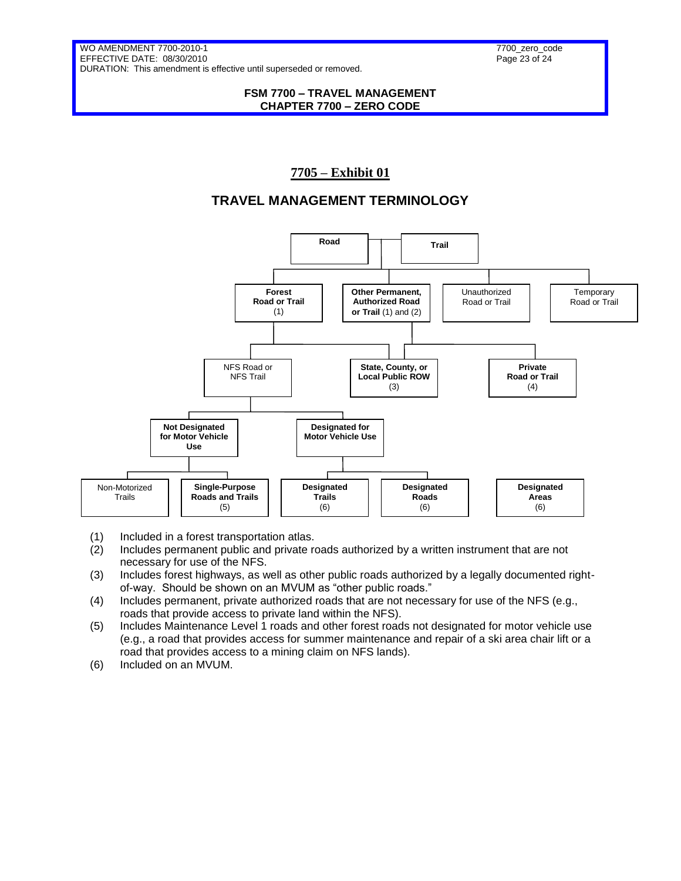#### **FSM 7700 – TRAVEL MANAGEMENT CHAPTER 7700 – ZERO CODE**

# **7705 – Exhibit 01**

# **TRAVEL MANAGEMENT TERMINOLOGY**



- (1) Included in a forest transportation atlas.
- (2) Includes permanent public and private roads authorized by a written instrument that are not necessary for use of the NFS.
- (3) Includes forest highways, as well as other public roads authorized by a legally documented rightof-way. Should be shown on an MVUM as "other public roads."
- (4) Includes permanent, private authorized roads that are not necessary for use of the NFS (e.g., roads that provide access to private land within the NFS).
- (5) Includes Maintenance Level 1 roads and other forest roads not designated for motor vehicle use (e.g., a road that provides access for summer maintenance and repair of a ski area chair lift or a road that provides access to a mining claim on NFS lands).
- (6) Included on an MVUM.